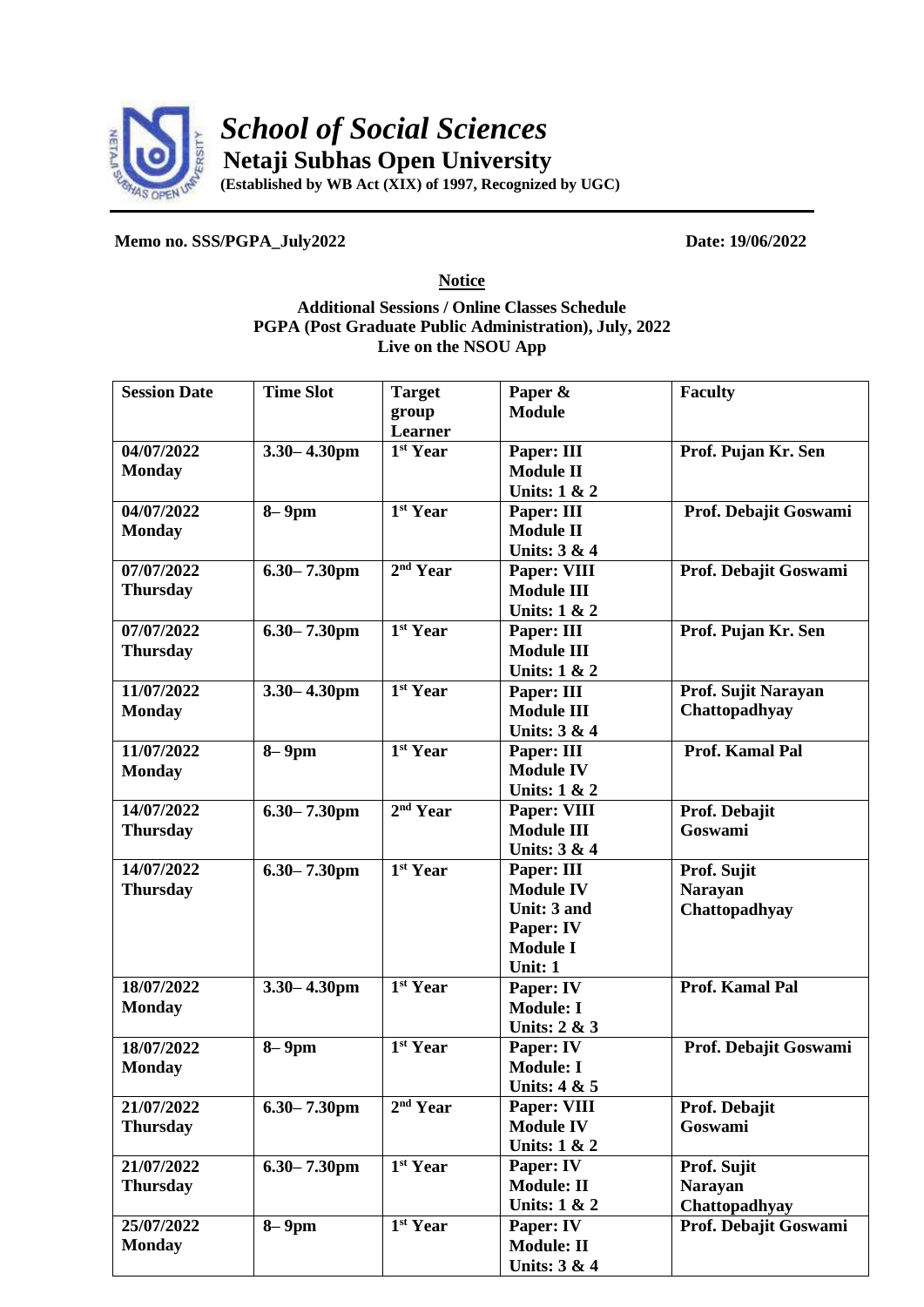

*School of Social Sciences* **Netaji Subhas Open University**

**(Established by WB Act (XIX) of 1997, Recognized by UGC)**

**Memo no. SSS/PGPA\_July2022 Date: 19/06/2022**

**Notice**

## **Additional Sessions / Online Classes Schedule PGPA (Post Graduate Public Administration), July, 2022 Live on the NSOU App**

| <b>Session Date</b> | <b>Time Slot</b>             | <b>Target</b>                     | Paper &                 | <b>Faculty</b>        |
|---------------------|------------------------------|-----------------------------------|-------------------------|-----------------------|
|                     |                              | group                             | <b>Module</b>           |                       |
|                     |                              | Learner                           |                         |                       |
| 04/07/2022          | $3.30 - 4.30$ pm             | 1 <sup>st</sup> Year              | Paper: III              | Prof. Pujan Kr. Sen   |
| <b>Monday</b>       |                              |                                   | <b>Module II</b>        |                       |
|                     |                              |                                   | <b>Units: 1 &amp; 2</b> |                       |
| 04/07/2022          | $8-9$ pm                     | 1 <sup>st</sup> Year              | Paper: III              | Prof. Debajit Goswami |
| <b>Monday</b>       |                              |                                   | <b>Module II</b>        |                       |
|                     |                              |                                   | Units: 3 & 4            |                       |
| 07/07/2022          | $6.30 - 7.30$ pm             | 2 <sup>nd</sup> Year              | Paper: VIII             | Prof. Debajit Goswami |
| <b>Thursday</b>     |                              |                                   | <b>Module III</b>       |                       |
|                     |                              |                                   | Units: 1 & 2            |                       |
| 07/07/2022          | $6.30 - 7.30$ pm             | 1 <sup>st</sup> Year              | Paper: III              | Prof. Pujan Kr. Sen   |
| <b>Thursday</b>     |                              |                                   | <b>Module III</b>       |                       |
|                     |                              |                                   | Units: 1 & 2            |                       |
| 11/07/2022          | $3.30 - 4.30$ pm             | 1 <sup>st</sup> Year              | Paper: III              | Prof. Sujit Narayan   |
| <b>Monday</b>       |                              |                                   | <b>Module III</b>       | Chattopadhyay         |
|                     |                              |                                   | Units: 3 & 4            |                       |
| 11/07/2022          | $\overline{\mathbf{8}}$ -9pm | 1 <sup>st</sup> Year              | Paper: III              | Prof. Kamal Pal       |
| <b>Monday</b>       |                              |                                   | <b>Module IV</b>        |                       |
|                     |                              |                                   | Units: 1 & 2            |                       |
| 14/07/2022          | $6.30 - 7.30$ pm             | 2 <sup>nd</sup> Year              | Paper: VIII             | Prof. Debajit         |
| <b>Thursday</b>     |                              |                                   | <b>Module III</b>       | Goswami               |
|                     |                              |                                   | Units: 3 & 4            |                       |
| 14/07/2022          | $6.30 - 7.30$ pm             | 1 <sup>st</sup> Year              | Paper: III              | Prof. Sujit           |
| <b>Thursday</b>     |                              |                                   | <b>Module IV</b>        | <b>Narayan</b>        |
|                     |                              |                                   | Unit: 3 and             | Chattopadhyay         |
|                     |                              |                                   | Paper: IV               |                       |
|                     |                              |                                   | <b>Module I</b>         |                       |
|                     |                              |                                   | Unit: 1                 |                       |
| 18/07/2022          | $3.30 - 4.30$ pm             | 1 <sup>st</sup> Year              | Paper: IV               | Prof. Kamal Pal       |
| <b>Monday</b>       |                              |                                   | <b>Module: I</b>        |                       |
|                     |                              |                                   | Units: 2 & 3            |                       |
| 18/07/2022          | $8-9$ pm                     | $1st$ Year                        | Paper: IV               | Prof. Debajit Goswami |
| <b>Monday</b>       |                              |                                   | <b>Module: I</b>        |                       |
|                     |                              |                                   | <b>Units: 4 &amp; 5</b> |                       |
| 21/07/2022          | $6.30 - 7.30$ pm             | 2 <sup>nd</sup> Year              | Paper: VIII             | Prof. Debajit         |
| <b>Thursday</b>     |                              |                                   | <b>Module IV</b>        | <b>Goswami</b>        |
|                     |                              |                                   | <b>Units: 1 &amp; 2</b> |                       |
| 21/07/2022          | $6.30 - 7.30$ pm             | 1 <sup>st</sup> Year              | Paper: IV               | Prof. Sujit           |
| <b>Thursday</b>     |                              |                                   | <b>Module: II</b>       | <b>Narayan</b>        |
|                     |                              |                                   | Units: $1 & 2$          | Chattopadhyay         |
| 25/07/2022          | $8-9$ pm                     | $\overline{1}$ <sup>st</sup> Year | Paper: IV               | Prof. Debajit Goswami |
| <b>Monday</b>       |                              |                                   | <b>Module: II</b>       |                       |
|                     |                              |                                   | <b>Units: 3 &amp; 4</b> |                       |